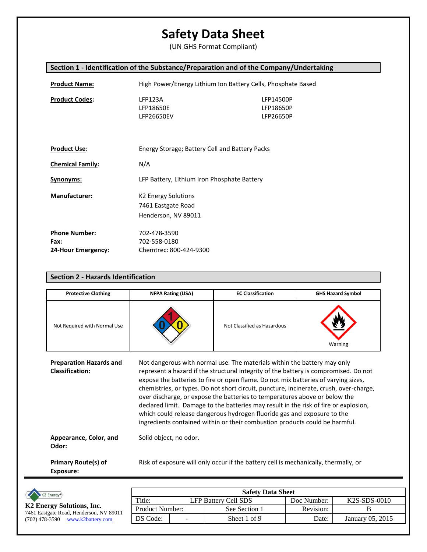(UN GHS Format Compliant)

### **Section 1 - Identification of the Substance/Preparation and of the Company/Undertaking**

| <b>Product Name:</b>                               | High Power/Energy Lithium Ion Battery Cells, Phosphate Based            |                                     |  |
|----------------------------------------------------|-------------------------------------------------------------------------|-------------------------------------|--|
| <b>Product Codes:</b>                              | LFP123A<br>LFP18650E<br>LFP26650EV                                      | LFP14500P<br>LFP18650P<br>LFP26650P |  |
| <b>Product Use:</b>                                | Energy Storage; Battery Cell and Battery Packs                          |                                     |  |
| <b>Chemical Family:</b>                            | N/A                                                                     |                                     |  |
| Synonyms:                                          | LFP Battery, Lithium Iron Phosphate Battery                             |                                     |  |
| <b>Manufacturer:</b>                               | <b>K2 Energy Solutions</b><br>7461 Eastgate Road<br>Henderson, NV 89011 |                                     |  |
| <b>Phone Number:</b><br>Fax:<br>24-Hour Emergency: | 702-478-3590<br>702-558-0180<br>Chemtrec: 800-424-9300                  |                                     |  |

| <b>Protective Clothing</b>                               | <b>NFPA Rating (USA)</b>                                                                                                                                                                                                                                                                                                                                                                                                                                                                                                                                                                                                                                                         | <b>EC Classification</b>    | <b>GHS Hazard Symbol</b> |
|----------------------------------------------------------|----------------------------------------------------------------------------------------------------------------------------------------------------------------------------------------------------------------------------------------------------------------------------------------------------------------------------------------------------------------------------------------------------------------------------------------------------------------------------------------------------------------------------------------------------------------------------------------------------------------------------------------------------------------------------------|-----------------------------|--------------------------|
| Not Required with Normal Use                             |                                                                                                                                                                                                                                                                                                                                                                                                                                                                                                                                                                                                                                                                                  | Not Classified as Hazardous | Warning                  |
| <b>Preparation Hazards and</b><br><b>Classification:</b> | Not dangerous with normal use. The materials within the battery may only<br>represent a hazard if the structural integrity of the battery is compromised. Do not<br>expose the batteries to fire or open flame. Do not mix batteries of varying sizes,<br>chemistries, or types. Do not short circuit, puncture, incinerate, crush, over-charge,<br>over discharge, or expose the batteries to temperatures above or below the<br>declared limit. Damage to the batteries may result in the risk of fire or explosion,<br>which could release dangerous hydrogen fluoride gas and exposure to the<br>ingredients contained within or their combustion products could be harmful. |                             |                          |

**Appearance, Color, and Odor:** Solid object, no odor.

**Section 2 - Hazards Identification**

**Primary Route(s) of Exposure:** Risk of exposure will only occur if the battery cell is mechanically, thermally, or

| K2 Energy®                                                           | <b>Safety Data Sheet</b> |  |                             |             |                  |
|----------------------------------------------------------------------|--------------------------|--|-----------------------------|-------------|------------------|
|                                                                      | Title:                   |  | <b>LFP Battery Cell SDS</b> | Doc Number: | K2S-SDS-0010     |
| K2 Energy Solutions, Inc.<br>7461 Eastgate Road, Henderson, NV 89011 | Product Number:          |  | See Section 1               | Revision:   |                  |
| www.k2battery.com<br>(702) 478-3590                                  | DS Code:                 |  | Sheet 1 of 9                | Date:       | January 05, 2015 |
|                                                                      |                          |  |                             |             |                  |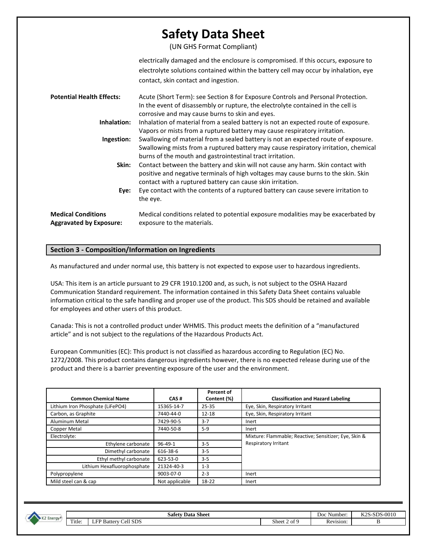(UN GHS Format Compliant)

|                                                             | electrically damaged and the enclosure is compromised. If this occurs, exposure to<br>electrolyte solutions contained within the battery cell may occur by inhalation, eye<br>contact, skin contact and ingestion.                     |
|-------------------------------------------------------------|----------------------------------------------------------------------------------------------------------------------------------------------------------------------------------------------------------------------------------------|
| <b>Potential Health Effects:</b>                            | Acute (Short Term): see Section 8 for Exposure Controls and Personal Protection.<br>In the event of disassembly or rupture, the electrolyte contained in the cell is<br>corrosive and may cause burns to skin and eyes.                |
| Inhalation:                                                 | Inhalation of material from a sealed battery is not an expected route of exposure.<br>Vapors or mists from a ruptured battery may cause respiratory irritation.                                                                        |
| Ingestion:                                                  | Swallowing of material from a sealed battery is not an expected route of exposure.<br>Swallowing mists from a ruptured battery may cause respiratory irritation, chemical<br>burns of the mouth and gastrointestinal tract irritation. |
| Skin:                                                       | Contact between the battery and skin will not cause any harm. Skin contact with<br>positive and negative terminals of high voltages may cause burns to the skin. Skin<br>contact with a ruptured battery can cause skin irritation.    |
| Eye:                                                        | Eye contact with the contents of a ruptured battery can cause severe irritation to<br>the eye.                                                                                                                                         |
| <b>Medical Conditions</b><br><b>Aggravated by Exposure:</b> | Medical conditions related to potential exposure modalities may be exacerbated by<br>exposure to the materials.                                                                                                                        |

### **Section 3 - Composition/Information on Ingredients**

As manufactured and under normal use, this battery is not expected to expose user to hazardous ingredients.

USA: This item is an article pursuant to 29 CFR 1910.1200 and, as such, is not subject to the OSHA Hazard Communication Standard requirement. The information contained in this Safety Data Sheet contains valuable information critical to the safe handling and proper use of the product. This SDS should be retained and available for employees and other users of this product.

Canada: This is not a controlled product under WHMIS. This product meets the definition of a "manufactured article" and is not subject to the regulations of the Hazardous Products Act.

European Communities (EC): This product is not classified as hazardous according to Regulation (EC) No. 1272/2008. This product contains dangerous ingredients however, there is no expected release during use of the product and there is a barrier preventing exposure of the user and the environment.

|                                  |                | Percent of  |                                                       |
|----------------------------------|----------------|-------------|-------------------------------------------------------|
| <b>Common Chemical Name</b>      | CAS#           | Content (%) | <b>Classification and Hazard Labeling</b>             |
| Lithium Iron Phosphate (LiFePO4) | 15365-14-7     | $25 - 35$   | Eye, Skin, Respiratory Irritant                       |
| Carbon, as Graphite              | 7440-44-0      | $12 - 18$   | Eye, Skin, Respiratory Irritant                       |
| Aluminum Metal                   | 7429-90-5      | $3 - 7$     | Inert                                                 |
| <b>Copper Metal</b>              | 7440-50-8      | $5-9$       | Inert                                                 |
| Electrolyte:                     |                |             | Mixture: Flammable; Reactive; Sensitizer; Eye, Skin & |
| Ethylene carbonate               | $96 - 49 - 1$  | $3 - 5$     | Respiratory Irritant                                  |
| Dimethyl carbonate               | 616-38-6       | $3 - 5$     |                                                       |
| Ethyl methyl carbonate           | 623-53-0       | $3 - 5$     |                                                       |
| Lithium Hexafluorophosphate      | 21324-40-3     | $1 - 3$     |                                                       |
| Polypropylene                    | 9003-07-0      | $2 - 3$     | Inert                                                 |
| Mild steel can & cap             | Not applicable | 18-22       | Inert                                                 |

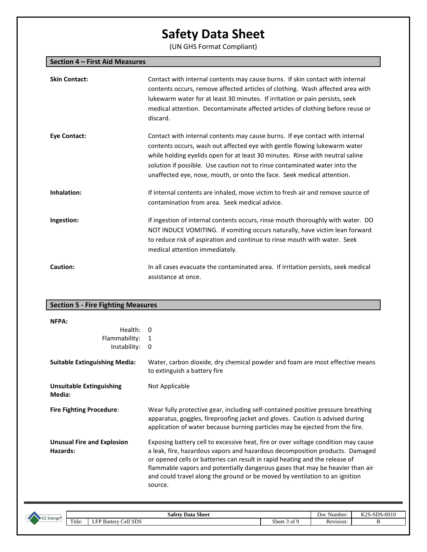(UN GHS Format Compliant)

| Section 4 - First Aid Measures |                                                                                                                                                                                                                                                                                                                                                                                                    |
|--------------------------------|----------------------------------------------------------------------------------------------------------------------------------------------------------------------------------------------------------------------------------------------------------------------------------------------------------------------------------------------------------------------------------------------------|
| <b>Skin Contact:</b>           | Contact with internal contents may cause burns. If skin contact with internal<br>contents occurs, remove affected articles of clothing. Wash affected area with<br>lukewarm water for at least 30 minutes. If irritation or pain persists, seek<br>medical attention. Decontaminate affected articles of clothing before reuse or<br>discard.                                                      |
| <b>Eye Contact:</b>            | Contact with internal contents may cause burns. If eye contact with internal<br>contents occurs, wash out affected eye with gentle flowing lukewarm water<br>while holding eyelids open for at least 30 minutes. Rinse with neutral saline<br>solution if possible. Use caution not to rinse contaminated water into the<br>unaffected eye, nose, mouth, or onto the face. Seek medical attention. |
| Inhalation:                    | If internal contents are inhaled, move victim to fresh air and remove source of<br>contamination from area. Seek medical advice.                                                                                                                                                                                                                                                                   |
| Ingestion:                     | If ingestion of internal contents occurs, rinse mouth thoroughly with water. DO<br>NOT INDUCE VOMITING. If vomiting occurs naturally, have victim lean forward<br>to reduce risk of aspiration and continue to rinse mouth with water. Seek<br>medical attention immediately.                                                                                                                      |
| <b>Caution:</b>                | In all cases evacuate the contaminated area. If irritation persists, seek medical<br>assistance at once.                                                                                                                                                                                                                                                                                           |

## **Section 5 - Fire Fighting Measures**

| NFPA:                                         |                                                                                                                                                                                                                                                                                                                                                                                                                             |
|-----------------------------------------------|-----------------------------------------------------------------------------------------------------------------------------------------------------------------------------------------------------------------------------------------------------------------------------------------------------------------------------------------------------------------------------------------------------------------------------|
| Health:<br>Flammability:                      | $\Omega$<br>1                                                                                                                                                                                                                                                                                                                                                                                                               |
| Instability:                                  | 0                                                                                                                                                                                                                                                                                                                                                                                                                           |
| <b>Suitable Extinguishing Media:</b>          | Water, carbon dioxide, dry chemical powder and foam are most effective means<br>to extinguish a battery fire                                                                                                                                                                                                                                                                                                                |
| <b>Unsuitable Extinguishing</b><br>Media:     | Not Applicable                                                                                                                                                                                                                                                                                                                                                                                                              |
| <b>Fire Fighting Procedure:</b>               | Wear fully protective gear, including self-contained positive pressure breathing<br>apparatus, goggles, fireproofing jacket and gloves. Caution is advised during<br>application of water because burning particles may be ejected from the fire.                                                                                                                                                                           |
| <b>Unusual Fire and Explosion</b><br>Hazards: | Exposing battery cell to excessive heat, fire or over voltage condition may cause<br>a leak, fire, hazardous vapors and hazardous decomposition products. Damaged<br>or opened cells or batteries can result in rapid heating and the release of<br>flammable vapors and potentially dangerous gases that may be heavier than air<br>and could travel along the ground or be moved by ventilation to an ignition<br>source. |



**Safety Data Sheet**<br>
Sheet 3 of 9<br>
Revision: B<br>
B Title: LFP Battery Cell SDS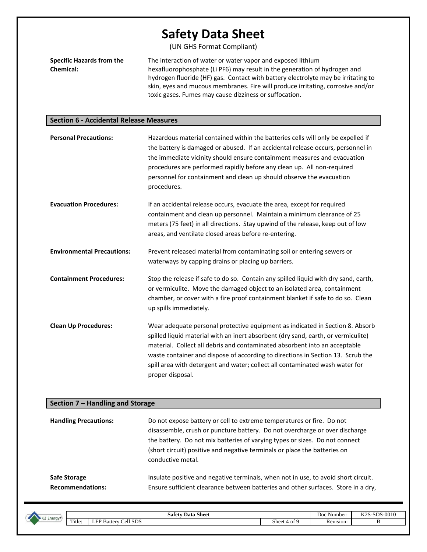(UN GHS Format Compliant)

| <b>Specific Hazards from the</b> | The interaction of water or water vapor and exposed lithium                       |
|----------------------------------|-----------------------------------------------------------------------------------|
| <b>Chemical:</b>                 | hexafluorophosphate (Li PF6) may result in the generation of hydrogen and         |
|                                  | hydrogen fluoride (HF) gas. Contact with battery electrolyte may be irritating to |
|                                  | skin, eyes and mucous membranes. Fire will produce irritating, corrosive and/or   |
|                                  | toxic gases. Fumes may cause dizziness or suffocation.                            |

### **Section 6 - Accidental Release Measures**

| <b>Personal Precautions:</b>      | Hazardous material contained within the batteries cells will only be expelled if<br>the battery is damaged or abused. If an accidental release occurs, personnel in<br>the immediate vicinity should ensure containment measures and evacuation<br>procedures are performed rapidly before any clean up. All non-required<br>personnel for containment and clean up should observe the evacuation<br>procedures.                        |
|-----------------------------------|-----------------------------------------------------------------------------------------------------------------------------------------------------------------------------------------------------------------------------------------------------------------------------------------------------------------------------------------------------------------------------------------------------------------------------------------|
| <b>Evacuation Procedures:</b>     | If an accidental release occurs, evacuate the area, except for required<br>containment and clean up personnel. Maintain a minimum clearance of 25<br>meters (75 feet) in all directions. Stay upwind of the release, keep out of low<br>areas, and ventilate closed areas before re-entering.                                                                                                                                           |
| <b>Environmental Precautions:</b> | Prevent released material from contaminating soil or entering sewers or<br>waterways by capping drains or placing up barriers.                                                                                                                                                                                                                                                                                                          |
| <b>Containment Procedures:</b>    | Stop the release if safe to do so. Contain any spilled liquid with dry sand, earth,<br>or vermiculite. Move the damaged object to an isolated area, containment<br>chamber, or cover with a fire proof containment blanket if safe to do so. Clean<br>up spills immediately.                                                                                                                                                            |
| <b>Clean Up Procedures:</b>       | Wear adequate personal protective equipment as indicated in Section 8. Absorb<br>spilled liquid material with an inert absorbent (dry sand, earth, or vermiculite)<br>material. Collect all debris and contaminated absorbent into an acceptable<br>waste container and dispose of according to directions in Section 13. Scrub the<br>spill area with detergent and water; collect all contaminated wash water for<br>proper disposal. |

| Section 7 – Handling and Storage               |                                                                                                                                                                                                                                                                                                                                       |  |  |  |
|------------------------------------------------|---------------------------------------------------------------------------------------------------------------------------------------------------------------------------------------------------------------------------------------------------------------------------------------------------------------------------------------|--|--|--|
| <b>Handling Precautions:</b>                   | Do not expose battery or cell to extreme temperatures or fire. Do not<br>disassemble, crush or puncture battery. Do not overcharge or over discharge<br>the battery. Do not mix batteries of varying types or sizes. Do not connect<br>(short circuit) positive and negative terminals or place the batteries on<br>conductive metal. |  |  |  |
| <b>Safe Storage</b><br><b>Recommendations:</b> | Insulate positive and negative terminals, when not in use, to avoid short circuit.<br>Ensure sufficient clearance between batteries and other surfaces. Store in a dry,                                                                                                                                                               |  |  |  |

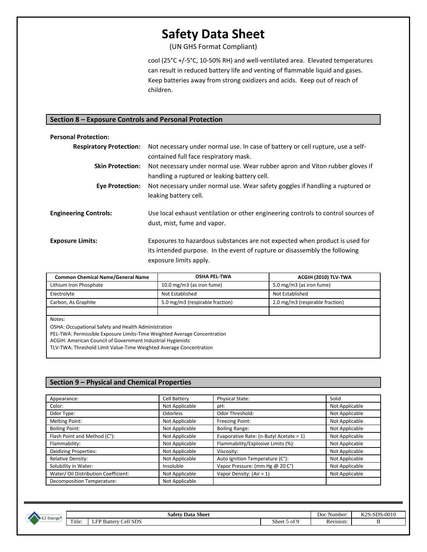(UN GHS Format Compliant)

cool (25°C +/-5°C, 10-50% RH) and well-ventilated area. Elevated temperatures can result in reduced battery life and venting of flammable liquid and gases. Keep batteries away from strong oxidizers and acids. Keep out of reach of children.

### **Section 8 – Exposure Controls and Personal Protection**

| <b>Personal Protection:</b>    |                                                                                                                                                                                     |
|--------------------------------|-------------------------------------------------------------------------------------------------------------------------------------------------------------------------------------|
| <b>Respiratory Protection:</b> | Not necessary under normal use. In case of battery or cell rupture, use a self-<br>contained full face respiratory mask.                                                            |
| <b>Skin Protection:</b>        | Not necessary under normal use. Wear rubber apron and Viton rubber gloves if<br>handling a ruptured or leaking battery cell.                                                        |
| <b>Eye Protection:</b>         | Not necessary under normal use. Wear safety goggles if handling a ruptured or<br>leaking battery cell.                                                                              |
| <b>Engineering Controls:</b>   | Use local exhaust ventilation or other engineering controls to control sources of<br>dust, mist, fume and vapor.                                                                    |
| <b>Exposure Limits:</b>        | Exposures to hazardous substances are not expected when product is used for<br>its intended purpose. In the event of rupture or disassembly the following<br>exposure limits apply. |

| <b>Common Chemical Name/General Name</b> | <b>OSHA PEL-TWA</b>             | ACGIH (2010) TLV-TWA            |
|------------------------------------------|---------------------------------|---------------------------------|
| Lithium Iron Phosphate                   | 10.0 mg/m3 (as iron fume)       | 5.0 mg/m3 (as iron fume)        |
| Electrolyte                              | Not Established                 | Not Established                 |
| Carbon, As Graphite                      | 5.0 mg/m3 (respirable fraction) | 2.0 mg/m3 (respirable fraction) |
|                                          |                                 |                                 |
| Notes:                                   |                                 |                                 |

Notes:

OSHA: Occupational Safety and Health Administration

PEL-TWA: Permissible Exposure Limits-Time Weighted Average Concentration

ACGIH: American Council of Government Industrial Hygienists

TLV-TWA: Threshold Limit Value-Time Weighted Average Concentration

#### **Section 9 – Physical and Chemical Properties**

| Appearance:                          | Cell Battery   | Physical State:                         | Solid          |
|--------------------------------------|----------------|-----------------------------------------|----------------|
| Color:                               | Not Applicable | pH:                                     | Not Applicable |
| Odor Type:                           | Odorless       | Odor Threshold:                         | Not Applicable |
| Melting Point:                       | Not Applicable | Freezing Point:                         | Not Applicable |
| <b>Boiling Point:</b>                | Not Applicable | <b>Boiling Range:</b>                   | Not Applicable |
| Flash Point and Method (C°):         | Not Applicable | Evaporative Rate: (n-Butyl Acetate = 1) | Not Applicable |
| Flammability:                        | Not Applicable | Flammability/Explosive Limits (%):      | Not Applicable |
| <b>Oxidizing Properties:</b>         | Not Applicable | Viscosity:                              | Not Applicable |
| Relative Density:                    | Not Applicable | Auto Ignition Temperature (C°):         | Not Applicable |
| Solubility in Water:                 | Insoluble      | Vapor Pressure: (mm Hg @ 20 C°)         | Not Applicable |
| Water/ Oil Distribution Coefficient: | Not Applicable | Vapor Density: (Air = 1)                | Not Applicable |
| Decomposition Temperature:           | Not Applicable |                                         |                |

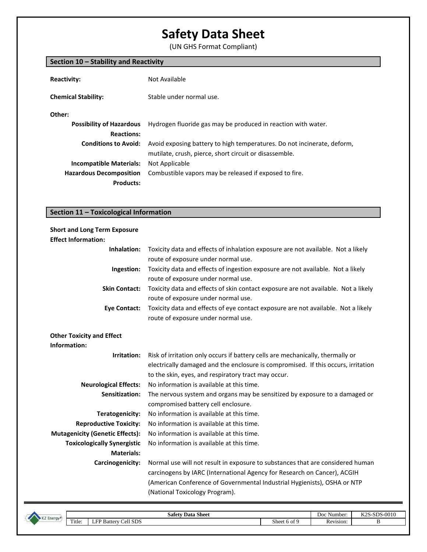(UN GHS Format Compliant)

|                                 | Section 10 – Stability and Reactivity                                                                                             |  |  |
|---------------------------------|-----------------------------------------------------------------------------------------------------------------------------------|--|--|
| <b>Reactivity:</b>              | Not Available                                                                                                                     |  |  |
| <b>Chemical Stability:</b>      | Stable under normal use.                                                                                                          |  |  |
| Other:                          |                                                                                                                                   |  |  |
| <b>Possibility of Hazardous</b> | Hydrogen fluoride gas may be produced in reaction with water.                                                                     |  |  |
| <b>Reactions:</b>               |                                                                                                                                   |  |  |
| <b>Conditions to Avoid:</b>     | Avoid exposing battery to high temperatures. Do not incinerate, deform,<br>mutilate, crush, pierce, short circuit or disassemble. |  |  |
| <b>Incompatible Materials:</b>  | Not Applicable                                                                                                                    |  |  |
| <b>Hazardous Decomposition</b>  | Combustible vapors may be released if exposed to fire.                                                                            |  |  |
| <b>Products:</b>                |                                                                                                                                   |  |  |
|                                 |                                                                                                                                   |  |  |

## **Section 11 – Toxicological Information**

| <b>Short and Long Term Exposure</b>    |                                                                                    |
|----------------------------------------|------------------------------------------------------------------------------------|
| <b>Effect Information:</b>             |                                                                                    |
| Inhalation:                            | Toxicity data and effects of inhalation exposure are not available. Not a likely   |
|                                        | route of exposure under normal use.                                                |
| Ingestion:                             | Toxicity data and effects of ingestion exposure are not available. Not a likely    |
|                                        | route of exposure under normal use.                                                |
| <b>Skin Contact:</b>                   | Toxicity data and effects of skin contact exposure are not available. Not a likely |
|                                        | route of exposure under normal use.                                                |
| <b>Eye Contact:</b>                    | Toxicity data and effects of eye contact exposure are not available. Not a likely  |
|                                        | route of exposure under normal use.                                                |
|                                        |                                                                                    |
| <b>Other Toxicity and Effect</b>       |                                                                                    |
| Information:                           |                                                                                    |
| Irritation:                            | Risk of irritation only occurs if battery cells are mechanically, thermally or     |
|                                        | electrically damaged and the enclosure is compromised. If this occurs, irritation  |
|                                        | to the skin, eyes, and respiratory tract may occur.                                |
| <b>Neurological Effects:</b>           | No information is available at this time.                                          |
| Sensitization:                         | The nervous system and organs may be sensitized by exposure to a damaged or        |
|                                        | compromised battery cell enclosure.                                                |
| Teratogenicity:                        | No information is available at this time.                                          |
| <b>Reproductive Toxicity:</b>          | No information is available at this time.                                          |
| <b>Mutagenicity (Genetic Effects):</b> | No information is available at this time.                                          |
| <b>Toxicologically Synergistic</b>     | No information is available at this time.                                          |
| <b>Materials:</b>                      |                                                                                    |
| Carcinogenicity:                       | Normal use will not result in exposure to substances that are considered human     |
|                                        | carcinogens by IARC (International Agency for Research on Cancer), ACGIH           |
|                                        | (American Conference of Governmental Industrial Hygienists), OSHA or NTP           |
|                                        | (National Toxicology Program).                                                     |
|                                        |                                                                                    |

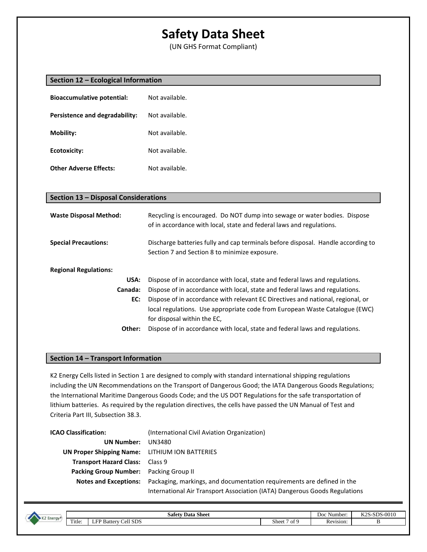(UN GHS Format Compliant)

|  |  | Section 12 - Ecological Information |  |  |
|--|--|-------------------------------------|--|--|
|--|--|-------------------------------------|--|--|

| <b>Bioaccumulative potential:</b> | Not available. |
|-----------------------------------|----------------|
| Persistence and degradability:    | Not available. |
| <b>Mobility:</b>                  | Not available. |
| Ecotoxicity:                      | Not available. |
| <b>Other Adverse Effects:</b>     | Not available. |

| Section 13 - Disposal Considerations |                                                                                                                                                                                               |  |
|--------------------------------------|-----------------------------------------------------------------------------------------------------------------------------------------------------------------------------------------------|--|
| <b>Waste Disposal Method:</b>        | Recycling is encouraged. Do NOT dump into sewage or water bodies. Dispose<br>of in accordance with local, state and federal laws and regulations.                                             |  |
| <b>Special Precautions:</b>          | Discharge batteries fully and cap terminals before disposal. Handle according to<br>Section 7 and Section 8 to minimize exposure.                                                             |  |
| <b>Regional Regulations:</b>         |                                                                                                                                                                                               |  |
| USA:                                 | Dispose of in accordance with local, state and federal laws and regulations.                                                                                                                  |  |
| Canada:                              | Dispose of in accordance with local, state and federal laws and regulations.                                                                                                                  |  |
| EC:                                  | Dispose of in accordance with relevant EC Directives and national, regional, or<br>local regulations. Use appropriate code from European Waste Catalogue (EWC)<br>for disposal within the EC, |  |
| Other:                               | Dispose of in accordance with local, state and federal laws and regulations.                                                                                                                  |  |

### **Section 14 – Transport Information**

K2 Energy Cells listed in Section 1 are designed to comply with standard international shipping regulations including the UN Recommendations on the Transport of Dangerous Good; the IATA Dangerous Goods Regulations; the International Maritime Dangerous Goods Code; and the US DOT Regulations for the safe transportation of lithium batteries. As required by the regulation directives, the cells have passed the UN Manual of Test and Criteria Part III, Subsection 38.3.

| <b>ICAO Classification:</b>                    | (International Civil Aviation Organization)                                                  |
|------------------------------------------------|----------------------------------------------------------------------------------------------|
| <b>UN Number:</b>                              | UN3480                                                                                       |
| UN Proper Shipping Name: LITHIUM ION BATTERIES |                                                                                              |
| <b>Transport Hazard Class: Class 9</b>         |                                                                                              |
| Packing Group Number: Packing Group II         |                                                                                              |
|                                                | Notes and Exceptions: Packaging, markings, and documentation requirements are defined in the |
|                                                | International Air Transport Association (IATA) Dangerous Goods Regulations                   |



**Safety Data Sheet** Doc Number: K2S-SDS-0010 Title: LFP Battery Cell SDS Beet 7 of 9 Revision: B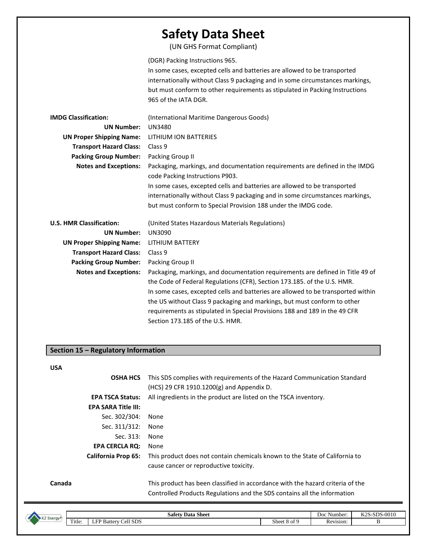(UN GHS Format Compliant)

(DGR) Packing Instructions 965.

In some cases, excepted cells and batteries are allowed to be transported internationally without Class 9 packaging and in some circumstances markings, but must conform to other requirements as stipulated in Packing Instructions 965 of the IATA DGR.

| <b>IMDG Classification:</b>     | (International Maritime Dangerous Goods)                                                                                                                   |
|---------------------------------|------------------------------------------------------------------------------------------------------------------------------------------------------------|
| <b>UN Number:</b>               | <b>UN3480</b>                                                                                                                                              |
| <b>UN Proper Shipping Name:</b> | LITHIUM ION BATTERIES                                                                                                                                      |
| <b>Transport Hazard Class:</b>  | Class 9                                                                                                                                                    |
| <b>Packing Group Number:</b>    | Packing Group II                                                                                                                                           |
| <b>Notes and Exceptions:</b>    | Packaging, markings, and documentation requirements are defined in the IMDG<br>code Packing Instructions P903.                                             |
|                                 | In some cases, excepted cells and batteries are allowed to be transported<br>internationally without Class 9 packaging and in some circumstances markings, |
|                                 | but must conform to Special Provision 188 under the IMDG code.                                                                                             |
| <b>U.S. HMR Classification:</b> | (United States Hazardous Materials Regulations)                                                                                                            |
| <b>UN Number:</b>               | <b>UN3090</b>                                                                                                                                              |
|                                 |                                                                                                                                                            |
| <b>UN Proper Shipping Name:</b> | LITHIUM BATTERY                                                                                                                                            |
| <b>Transport Hazard Class:</b>  | Class 9                                                                                                                                                    |
| <b>Packing Group Number:</b>    | Packing Group II                                                                                                                                           |
| <b>Notes and Exceptions:</b>    | Packaging, markings, and documentation requirements are defined in Title 49 of                                                                             |
|                                 | the Code of Federal Regulations (CFR), Section 173.185. of the U.S. HMR.                                                                                   |
|                                 | In some cases, excepted cells and batteries are allowed to be transported within                                                                           |
|                                 | the US without Class 9 packaging and markings, but must conform to other                                                                                   |
|                                 | requirements as stipulated in Special Provisions 188 and 189 in the 49 CFR                                                                                 |

### **Section 15 – Regulatory Information**

#### **USA**

|        | <b>OSHA HCS</b>            | This SDS complies with requirements of the Hazard Communication Standard<br>(HCS) 29 CFR 1910.1200(g) and Appendix D.                                      |
|--------|----------------------------|------------------------------------------------------------------------------------------------------------------------------------------------------------|
|        | <b>EPA TSCA Status:</b>    | All ingredients in the product are listed on the TSCA inventory.                                                                                           |
|        | <b>EPA SARA Title III:</b> |                                                                                                                                                            |
|        | Sec. 302/304:              | None                                                                                                                                                       |
|        | Sec. 311/312:              | None                                                                                                                                                       |
|        | Sec. 313:                  | None                                                                                                                                                       |
|        | <b>EPA CERCLA RQ:</b>      | None                                                                                                                                                       |
|        | <b>California Prop 65:</b> | This product does not contain chemicals known to the State of California to<br>cause cancer or reproductive toxicity.                                      |
| Canada |                            | This product has been classified in accordance with the hazard criteria of the<br>Controlled Products Regulations and the SDS contains all the information |